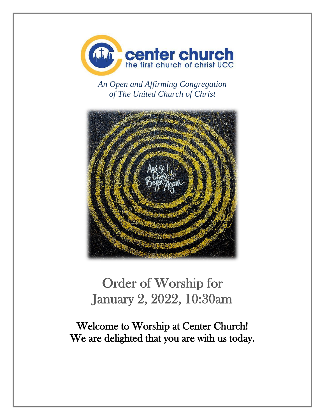

*An Open and Affirming Congregation of The United Church of Christ*



# Order of Worship for January 2, 2022, 10:30am

Welcome to Worship at Center Church! We are delighted that you are with us today.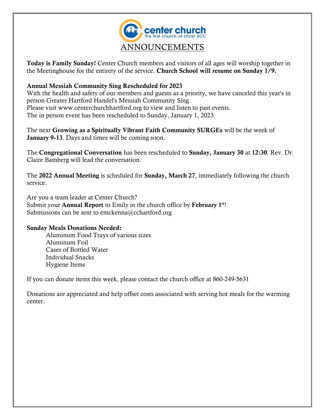

Today is Family Sunday! Center Church members and visitors of all ages will worship together in the Meetinghouse for the entirety of the service. Church School will resume on Sunday 1/9.

### Annual Messiah Community Sing Rescheduled for 2023

With the health and safety of our members and guests as a priority, we have canceled this year's in person Greater Hartford Handel's Messiah Community Sing. Please visit www.centerchurchhartford.org to view and listen to past events. The in person event has been rescheduled to Sunday, January 1, 2023.

The next Growing as a Spiritually Vibrant Faith Community SURGEs will be the week of January 9-13. Days and times will be coming soon.

The Congregational Conversation has been rescheduled to Sunday, January 30 at 12:30. Rev. Dr. Claire Bamberg will lead the conversation.

The 2022 Annual Meeting is scheduled for Sunday, March 27, immediately following the church service.

Are you a team leader at Center Church? Submit your **Annual Report** to Emily in the church office by February 1<sup>st</sup>! Submissions can be sent to emckenna@cchartford.org

#### Sunday Meals Donations Needed:

Aluminum Food Trays of various sizes Aluminum Foil Cases of Bottled Water Individual Snacks Hygiene Items

If you can donate items this week, please contact the church office at 860-249-5631

Donations are appreciated and help offset costs associated with serving hot meals for the warming center.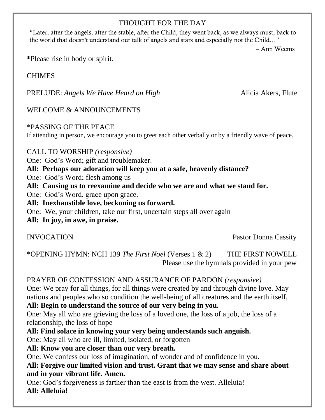## THOUGHT FOR THE DAY

"Later, after the angels, after the stable, after the Child, they went back, as we always must, back to the world that doesn't understand our talk of angels and stars and especially not the Child…"

– Ann Weems

**\***Please rise in body or spirit.

CHIMES

PRELUDE: *Angels We Have Heard on High* Alicia Akers, Flute

WELCOME & ANNOUNCEMENTS

\*PASSING OF THE PEACE

If attending in person, we encourage you to greet each other verbally or by a friendly wave of peace.

CALL TO WORSHIP *(responsive)*

One: God's Word; gift and troublemaker.

**All: Perhaps our adoration will keep you at a safe, heavenly distance?** 

One: God's Word; flesh among us

**All: Causing us to reexamine and decide who we are and what we stand for.**

One: God's Word, grace upon grace.

**All: Inexhaustible love, beckoning us forward.** 

One: We, your children, take our first, uncertain steps all over again

**All: In joy, in awe, in praise.**

INVOCATION Pastor Donna Cassity

\*OPENING HYMN: NCH 139 *The First Noel* (Verses 1 & 2)THE FIRST NOWELL Please use the hymnals provided in your pew

PRAYER OF CONFESSION AND ASSURANCE OF PARDON *(responsive)* One: We pray for all things, for all things were created by and through divine love. May nations and peoples who so condition the well-being of all creatures and the earth itself, **All: Begin to understand the source of our very being in you.** One: May all who are grieving the loss of a loved one, the loss of a job, the loss of a relationship, the loss of hope

**All: Find solace in knowing your very being understands such anguish.**

One: May all who are ill, limited, isolated, or forgotten

**All: Know you are closer than our very breath.**

One: We confess our loss of imagination, of wonder and of confidence in you.

**All: Forgive our limited vision and trust. Grant that we may sense and share about and in your vibrant life. Amen.**

One: God's forgiveness is farther than the east is from the west. Alleluia! **All: Alleluia!**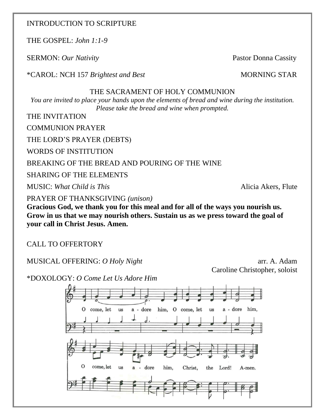## INTRODUCTION TO SCRIPTURE

THE GOSPEL: *John 1:1-9*

SERMON: *Our Nativity* Pastor Donna Cassity

\*CAROL: NCH 157 *Brightest and Best* MORNING STAR

## THE SACRAMENT OF HOLY COMMUNION

*You are invited to place your hands upon the elements of bread and wine during the institution. Please take the bread and wine when prompted.*

THE INVITATION

COMMUNION PRAYER

THE LORD'S PRAYER (DEBTS)

WORDS OF INSTITUTION

## BREAKING OF THE BREAD AND POURING OF THE WINE

SHARING OF THE ELEMENTS

MUSIC: *What Child is This* **Alicia Akers**, Flute **Alicia Akers**, Flute

PRAYER OF THANKSGIVING *(unison)*

**Gracious God, we thank you for this meal and for all of the ways you nourish us. Grow in us that we may nourish others. Sustain us as we press toward the goal of your call in Christ Jesus. Amen.**

CALL TO OFFERTORY

MUSICAL OFFERING: *O Holy Night* arr. A. Adam

Caroline Christopher, soloist

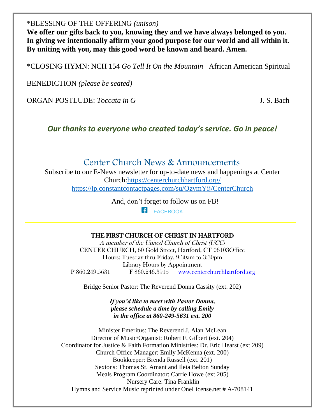\*BLESSING OF THE OFFERING *(unison)*

**We offer our gifts back to you, knowing they and we have always belonged to you. In giving we intentionally affirm your good purpose for our world and all within it. By uniting with you, may this good word be known and heard. Amen.**

\*CLOSING HYMN: NCH 154 *Go Tell It On the Mountain* African American Spiritual

BENEDICTION *(please be seated)*

ORGAN POSTLUDE: *Toccata in G* J. S. Bach

*Our thanks to everyone who created today's service. Go in peace!*

# Center Church News & Announcements

Subscribe to our E-News newsletter for up-to-date news and happenings at Center Church[:https://centerchurchhartford.org/](https://centerchurchhartford.org/) <https://lp.constantcontactpages.com/su/OzymYij/CenterChurch>

> And, don't forget to follow us on FB! **[FACEBOOK](https://www.facebook.com/centerchurchhartford/)**

#### THE FIRST CHURCH OF CHRIST IN HARTFORD

A member of the United Church of Christ (UCC) CENTER CHURCH, 60 Gold Street, Hartford, CT 06103Office Hours: Tuesday thru Friday, 9:30am to 3:30pm Library Hours by Appointment P 860.249.5631 F 860.246.3915 [www.centerchurchhartford.org](http://www.centerchurchhartford.org/)

Bridge Senior Pastor: The Reverend Donna Cassity (ext. 202)

*If you'd like to meet with Pastor Donna, please schedule a time by calling Emily in the office at 860-249-5631 ext. 200*

Minister Emeritus: The Reverend J. Alan McLean Director of Music/Organist: Robert F. Gilbert (ext. 204) Coordinator for Justice & Faith Formation Ministries: Dr. Eric Hearst (ext 209) Church Office Manager: Emily McKenna (ext. 200) Bookkeeper: Brenda Russell (ext. 201) Sextons: Thomas St. Amant and Ileia Belton Sunday Meals Program Coordinator: Carrie Howe (ext 205) Nursery Care: Tina Franklin Hymns and Service Music reprinted under OneLicense.net # A-708141